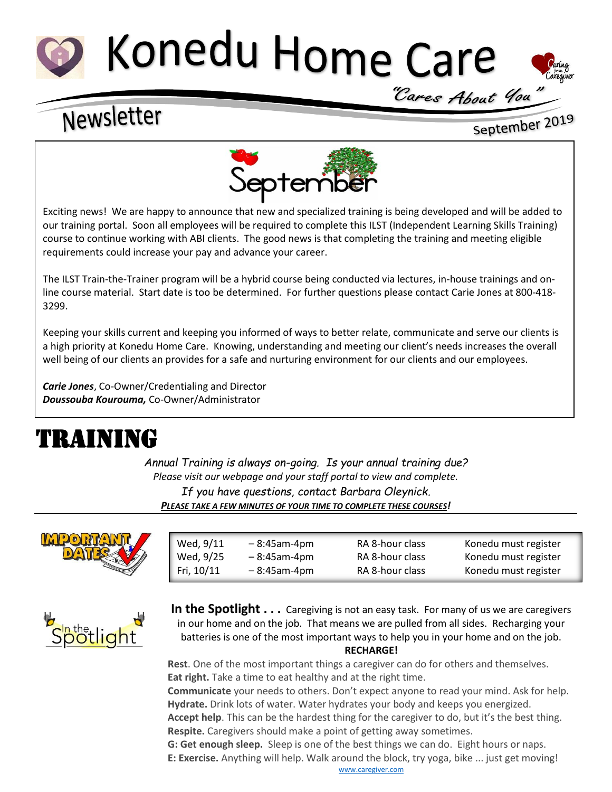# Konedu Home Care



# Newsletter

September 2019



Exciting news! We are happy to announce that new and specialized training is being developed and will be added to our training portal. Soon all employees will be required to complete this ILST (Independent Learning Skills Training) course to continue working with ABI clients. The good news is that completing the training and meeting eligible requirements could increase your pay and advance your career.

The ILST Train-the-Trainer program will be a hybrid course being conducted via lectures, in-house trainings and online course material. Start date is too be determined. For further questions please contact Carie Jones at 800-418- 3299.

Keeping your skills current and keeping you informed of ways to better relate, communicate and serve our clients is a high priority at Konedu Home Care. Knowing, understanding and meeting our client's needs increases the overall well being of our clients an provides for a safe and nurturing environment for our clients and our employees.

*Carie Jones*, Co-Owner/Credentialing and Director *Doussouba Kourouma,* Co-Owner/Administrator  $\ddot{ }$ 

## TRAINING

*Annual Training is always on-going. Is your annual training due? Please visit our webpage and your staff portal to view and complete. If you have questions, contact Barbara Oleynick. PLEASE TAKE A FEW MINUTES OF YOUR TIME TO COMPLETE THESE COURSES!*



| Wed, 9/11  | $-8:45$ am-4pm | RA 8-hour class | Konedu must register |
|------------|----------------|-----------------|----------------------|
| Wed, 9/25  | $-8:45$ am-4pm | RA 8-hour class | Konedu must register |
| Fri, 10/11 | $-8:45$ am-4pm | RA 8-hour class | Konedu must register |



**In the Spotlight . . .** Caregiving is not an easy task. For many of us we are caregivers in our home and on the job. That means we are pulled from all sides. Recharging your batteries is one of the most important ways to help you in your home and on the job. **RECHARGE!**

**Rest**. One of the most important things a caregiver can do for others and themselves. **Eat right.** Take a time to eat healthy and at the right time.

**Communicate** your needs to others. Don't expect anyone to read your mind. Ask for help. **Hydrate.** Drink lots of water. Water hydrates your body and keeps you energized.

**Accept help**. This can be the hardest thing for the caregiver to do, but it's the best thing. **Respite.** Caregivers should make a point of getting away sometimes.

**G: Get enough sleep.** Sleep is one of the best things we can do. Eight hours or naps.

**E: Exercise.** Anything will help. Walk around the block, try yoga, bike ... just get moving! [www.caregiver.com](http://www.caregiver.com/)